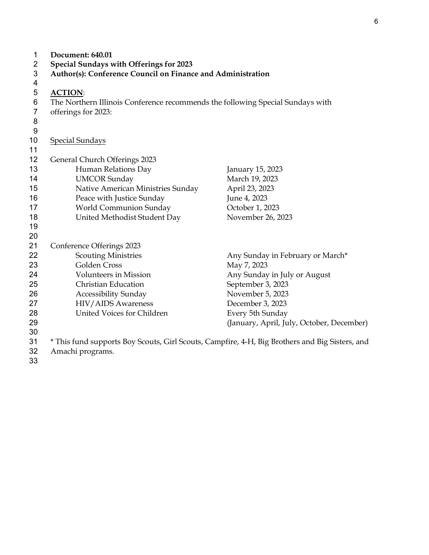| 1              | Document: 640.01                                                                               |                                           |  |
|----------------|------------------------------------------------------------------------------------------------|-------------------------------------------|--|
| 2              | Special Sundays with Offerings for 2023                                                        |                                           |  |
| $\mathbf{3}$   | Author(s): Conference Council on Finance and Administration                                    |                                           |  |
| 4              |                                                                                                |                                           |  |
| 5              | <b>ACTION:</b>                                                                                 |                                           |  |
| 6              | The Northern Illinois Conference recommends the following Special Sundays with                 |                                           |  |
| $\overline{7}$ | offerings for 2023:                                                                            |                                           |  |
| 8              |                                                                                                |                                           |  |
| 9              |                                                                                                |                                           |  |
| 10             | <b>Special Sundays</b>                                                                         |                                           |  |
| 11             |                                                                                                |                                           |  |
| 12             | General Church Offerings 2023                                                                  |                                           |  |
| 13             | Human Relations Day                                                                            | January 15, 2023                          |  |
| 14             | <b>UMCOR</b> Sunday                                                                            | March 19, 2023                            |  |
| 15             | Native American Ministries Sunday                                                              | April 23, 2023                            |  |
| 16             | Peace with Justice Sunday                                                                      | June 4, 2023                              |  |
| 17             | World Communion Sunday                                                                         | October 1, 2023                           |  |
| 18             | United Methodist Student Day                                                                   | November 26, 2023                         |  |
| 19             |                                                                                                |                                           |  |
| 20             |                                                                                                |                                           |  |
| 21             | Conference Offerings 2023                                                                      |                                           |  |
| 22             | <b>Scouting Ministries</b>                                                                     | Any Sunday in February or March*          |  |
| 23             | Golden Cross                                                                                   | May 7, 2023                               |  |
| 24             | <b>Volunteers in Mission</b>                                                                   | Any Sunday in July or August              |  |
| 25             | <b>Christian Education</b>                                                                     | September 3, 2023                         |  |
| 26             | Accessibility Sunday                                                                           | November 5, 2023                          |  |
| 27             | HIV/AIDS Awareness                                                                             | December 3, 2023                          |  |
| 28             | United Voices for Children                                                                     | Every 5th Sunday                          |  |
| 29             |                                                                                                | (January, April, July, October, December) |  |
| 30             |                                                                                                |                                           |  |
| 31             | * This fund supports Boy Scouts, Girl Scouts, Campfire, 4-H, Big Brothers and Big Sisters, and |                                           |  |
| 32             | Amachi programs.                                                                               |                                           |  |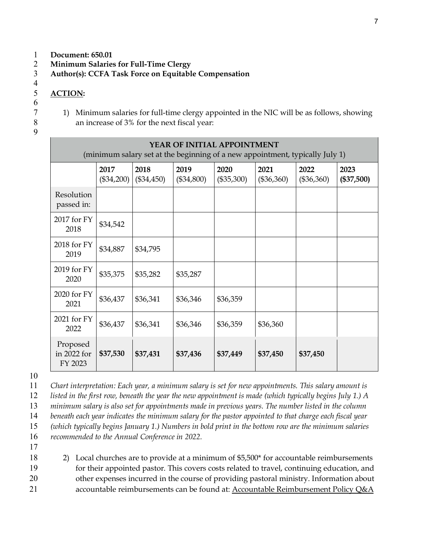- **Document: 650.01**
- **Minimum Salaries for Full-Time Clergy**
- **Author(s): CCFA Task Force on Equitable Compensation**
- $\frac{4}{5}$
- **ACTION:**
- 
- 1) Minimum salaries for full-time clergy appointed in the NIC will be as follows, showing an increase of 3% for the next fiscal year:
- 

| <b>YEAR OF INITIAL APPOINTMENT</b><br>(minimum salary set at the beginning of a new appointment, typically July 1) |                      |                    |                      |                      |                      |                      |                      |
|--------------------------------------------------------------------------------------------------------------------|----------------------|--------------------|----------------------|----------------------|----------------------|----------------------|----------------------|
|                                                                                                                    | 2017<br>$(\$34,200)$ | 2018<br>(\$34,450) | 2019<br>$(\$34,800)$ | 2020<br>$(\$35,300)$ | 2021<br>$(\$36,360)$ | 2022<br>$(\$36,360)$ | 2023<br>$(\$37,500)$ |
| Resolution<br>passed in:                                                                                           |                      |                    |                      |                      |                      |                      |                      |
| 2017 for FY<br>2018                                                                                                | \$34,542             |                    |                      |                      |                      |                      |                      |
| 2018 for FY<br>2019                                                                                                | \$34,887             | \$34,795           |                      |                      |                      |                      |                      |
| 2019 for FY<br>2020                                                                                                | \$35,375             | \$35,282           | \$35,287             |                      |                      |                      |                      |
| 2020 for FY<br>2021                                                                                                | \$36,437             | \$36,341           | \$36,346             | \$36,359             |                      |                      |                      |
| 2021 for FY<br>2022                                                                                                | \$36,437             | \$36,341           | \$36,346             | \$36,359             | \$36,360             |                      |                      |
| Proposed<br>in 2022 for<br>FY 2023                                                                                 | \$37,530             | \$37,431           | \$37,436             | \$37,449             | \$37,450             | \$37,450             |                      |

*Chart interpretation: Each year, a minimum salary is set for new appointments. This salary amount is listed in the first row, beneath the year the new appointment is made (which typically begins July 1.) A minimum salary is also set for appointments made in previous years. The number listed in the column beneath each year indicates the minimum salary for the pastor appointed to that charge each fiscal year (which typically begins January 1.) Numbers in bold print in the bottom row are the minimum salaries recommended to the Annual Conference in 2022.* 

18 2) Local churches are to provide at a minimum of \$5,500\* for accountable reimbursements for their appointed pastor. This covers costs related to travel, continuing education, and other expenses incurred in the course of providing pastoral ministry. Information about accountable reimbursements can be found at: [Accountable Reimbursement](https://www.umcnic.org/media/files/ordained%20ministry/AccountableReimbursementPoliciesQ_and_A.pdf) Policy Q&A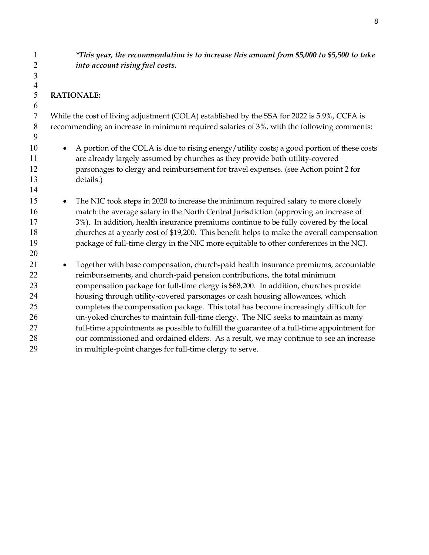*\*This year, the recommendation is to increase this amount from \$5,000 to \$5,500 to take into account rising fuel costs.*

# **RATIONALE:**

 

While the cost of living adjustment (COLA) established by the SSA for 2022 is 5.9%, CCFA is recommending an increase in minimum required salaries of 3%, with the following comments:

- 10 A portion of the COLA is due to rising energy/utility costs; a good portion of these costs are already largely assumed by churches as they provide both utility-covered parsonages to clergy and reimbursement for travel expenses. (see Action point 2 for details.)
- 15 The NIC took steps in 2020 to increase the minimum required salary to more closely match the average salary in the North Central Jurisdiction (approving an increase of 3%). In addition, health insurance premiums continue to be fully covered by the local churches at a yearly cost of \$19,200. This benefit helps to make the overall compensation package of full-time clergy in the NIC more equitable to other conferences in the NCJ.
- Together with base compensation, church-paid health insurance premiums, accountable reimbursements, and church-paid pension contributions, the total minimum compensation package for full-time clergy is \$68,200. In addition, churches provide housing through utility-covered parsonages or cash housing allowances, which completes the compensation package. This total has become increasingly difficult for un-yoked churches to maintain full-time clergy. The NIC seeks to maintain as many full-time appointments as possible to fulfill the guarantee of a full-time appointment for our commissioned and ordained elders. As a result, we may continue to see an increase in multiple-point charges for full-time clergy to serve.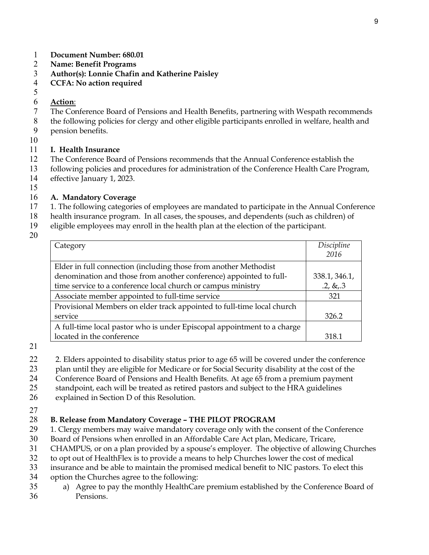- **Document Number: 680.01**
- **Name: Benefit Programs**
- **Author(s): Lonnie Chafin and Katherine Paisley**
- **CCFA: No action required**

#### $\frac{5}{6}$ **Action**:

- The Conference Board of Pensions and Health Benefits, partnering with Wespath recommends
- the following policies for clergy and other eligible participants enrolled in welfare, health and
- pension benefits.
- 

### **I. Health Insurance**

- The Conference Board of Pensions recommends that the Annual Conference establish the
- following policies and procedures for administration of the Conference Health Care Program,
- effective January 1, 2023.
- 

# **A. Mandatory Coverage**

- 1. The following categories of employees are mandated to participate in the Annual Conference
- health insurance program. In all cases, the spouses, and dependents (such as children) of
- eligible employees may enroll in the health plan at the election of the participant.
- 

| Category                                                                | Discipline    |
|-------------------------------------------------------------------------|---------------|
|                                                                         | 2016          |
| Elder in full connection (including those from another Methodist        |               |
| denomination and those from another conference) appointed to full-      | 338.1, 346.1, |
| time service to a conference local church or campus ministry            | $.2, \& .3$   |
| Associate member appointed to full-time service                         | 321           |
| Provisional Members on elder track appointed to full-time local church  |               |
| service                                                                 | 326.2         |
| A full-time local pastor who is under Episcopal appointment to a charge |               |
| located in the conference                                               | 318.1         |
|                                                                         |               |

- 22 2. Elders appointed to disability status prior to age 65 will be covered under the conference
- plan until they are eligible for Medicare or for Social Security disability at the cost of the
- Conference Board of Pensions and Health Benefits. At age 65 from a premium payment
- standpoint, each will be treated as retired pastors and subject to the HRA guidelines
- explained in Section D of this Resolution.
- 

# **B. Release from Mandatory Coverage – THE PILOT PROGRAM**

- 29 1. Clergy members may waive mandatory coverage only with the consent of the Conference
- Board of Pensions when enrolled in an Affordable Care Act plan, Medicare, Tricare,
- CHAMPUS, or on a plan provided by a spouse's employer. The objective of allowing Churches
- to opt out of HealthFlex is to provide a means to help Churches lower the cost of medical
- insurance and be able to maintain the promised medical benefit to NIC pastors. To elect this
- option the Churches agree to the following:
- a) Agree to pay the monthly HealthCare premium established by the Conference Board of Pensions.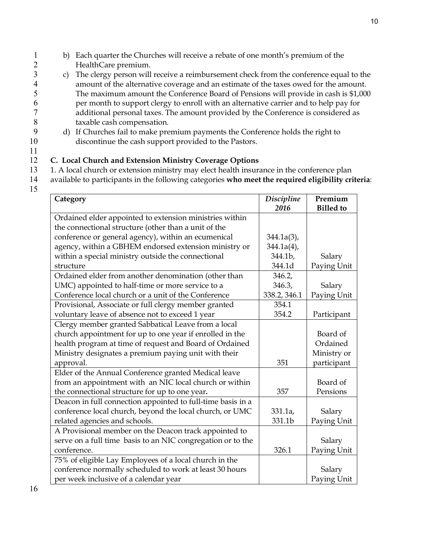- 1 b) Each quarter the Churches will receive a rebate of one month's premium of the 2 HealthCare premium.<br>3 c) The clergy person will
- c) The clergy person will receive a reimbursement check from the conference equal to the 4 amount of the alternative coverage and an estimate of the taxes owed for the amount.<br>5 The maximum amount the Conference Board of Pensions will provide in cash is \$1,000 5 The maximum amount the Conference Board of Pensions will provide in cash is \$1,000 6 per month to support clergy to enroll with an alternative carrier and to help pay for additional personal taxes. The amount provided by the Conference is considered as 8 taxable cash compensation.<br>9 d) If Churches fail to make pre
- 9 d) If Churches fail to make premium payments the Conference holds the right to 10 discontinue the cash support provided to the Pastors.

- 12 **C. Local Church and Extension Ministry Coverage Options** 1. A local church or extension ministry may elect health insurance in the conference plan
- 14 available to participants in the following categories **who meet the required eligibility criteria**:
- 15

| Category                                                    | <b>Discipline</b> | Premium          |
|-------------------------------------------------------------|-------------------|------------------|
|                                                             | 2016              | <b>Billed</b> to |
| Ordained elder appointed to extension ministries within     |                   |                  |
| the connectional structure (other than a unit of the        |                   |                  |
| conference or general agency), within an ecumenical         | $344.1a(3)$ ,     |                  |
| agency, within a GBHEM endorsed extension ministry or       | $344.1a(4)$ ,     |                  |
| within a special ministry outside the connectional          | 344.1b,           | Salary           |
| structure                                                   | 344.1d            | Paying Unit      |
| Ordained elder from another denomination (other than        | 346.2,            |                  |
| UMC) appointed to half-time or more service to a            | 346.3,            | Salary           |
| Conference local church or a unit of the Conference         | 338.2, 346.1      | Paying Unit      |
| Provisional, Associate or full clergy member granted        | 354.1             |                  |
| voluntary leave of absence not to exceed 1 year             | 354.2             | Participant      |
| Clergy member granted Sabbatical Leave from a local         |                   |                  |
| church appointment for up to one year if enrolled in the    |                   | Board of         |
| health program at time of request and Board of Ordained     |                   | Ordained         |
| Ministry designates a premium paying unit with their        |                   | Ministry or      |
| approval.                                                   | 351               | participant      |
| Elder of the Annual Conference granted Medical leave        |                   |                  |
| from an appointment with an NIC local church or within      |                   | Board of         |
| the connectional structure for up to one year.              | 357               | Pensions         |
| Deacon in full connection appointed to full-time basis in a |                   |                  |
| conference local church, beyond the local church, or UMC    | 331.1a,           | Salary           |
| related agencies and schools.                               | 331.1b            | Paying Unit      |
| A Provisional member on the Deacon track appointed to       |                   |                  |
| serve on a full time basis to an NIC congregation or to the |                   | Salary           |
| conference.                                                 | 326.1             | Paying Unit      |
| 75% of eligible Lay Employees of a local church in the      |                   |                  |
| conference normally scheduled to work at least 30 hours     |                   | Salary           |
| per week inclusive of a calendar year                       |                   | Paying Unit      |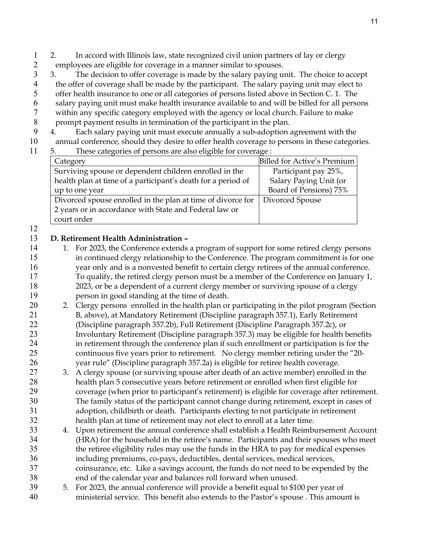- 2. In accord with Illinois law, state recognized civil union partners of lay or clergy 2 employees are eligible for coverage in a manner similar to spouses.<br>3 3. The decision to offer coverage is made by the salary paying u
- 3. The decision to offer coverage is made by the salary paying unit. The choice to accept 4 the offer of coverage shall be made by the participant. The salary paying unit may elect to<br>5 offer health insurance to one or all categories of persons listed above in Section C. 1. The offer health insurance to one or all categories of persons listed above in Section C. 1. The salary paying unit must make health insurance available to and will be billed for all persons
- within any specific category employed with the agency or local church. Failure to make
- 8 prompt payment results in termination of the participant in the plan.<br>9 4. Each salary paying unit must execute annually a sub-adoption and
- 4. Each salary paying unit must execute annually a sub-adoption agreement with the
- annual conference, should they desire to offer health coverage to persons in these categories.
- 5. These categories of persons are also eligible for coverage :

| Category                                                     | Billed for Active's Premium |
|--------------------------------------------------------------|-----------------------------|
| Surviving spouse or dependent children enrolled in the       | Participant pay 25%,        |
| health plan at time of a participant's death for a period of | Salary Paying Unit (or      |
| up to one year                                               | Board of Pensions) 75%      |
| Divorced spouse enrolled in the plan at time of divorce for  | Divorced Spouse             |
| 2 years or in accordance with State and Federal law or       |                             |
| court order                                                  |                             |

# **D. Retirement Health Administration –**

- 14 1. For 2023, the Conference extends a program of support for some retired clergy persons in continued clergy relationship to the Conference. The program commitment is for one year only and is a nonvested benefit to certain clergy retirees of the annual conference. To qualify, the retired clergy person must be a member of the Conference on January 1, 2023, or be a dependent of a current clergy member or surviving spouse of a clergy person in good standing at the time of death.
- 20 2. Clergy persons enrolled in the health plan or participating in the pilot program (Section B, above), at Mandatory Retirement (Discipline paragraph 357.1), Early Retirement (Discipline paragraph 357.2b), Full Retirement (Discipline Paragraph 357.2c), or Involuntary Retirement (Discipline paragraph 357.3) may be eligible for health benefits in retirement through the conference plan if such enrollment or participation is for the continuous five years prior to retirement. No clergy member retiring under the "20- year rule" (Discipline paragraph 357.2a) is eligible for retiree health coverage.
- 3. A clergy spouse (or surviving spouse after death of an active member) enrolled in the health plan 5 consecutive years before retirement or enrolled when first eligible for coverage (when prior to participant's retirement) is eligible for coverage after retirement. The family status of the participant cannot change during retirement, except in cases of adoption, childbirth or death. Participants electing to not participate in retirement health plan at time of retirement may not elect to enroll at a later time.
- 4. Upon retirement the annual conference shall establish a Health Reimbursement Account (HRA) for the household in the retiree's name. Participants and their spouses who meet the retiree eligibility rules may use the funds in the HRA to pay for medical expenses including premiums, co-pays, deductibles, dental services, medical services, coinsurance, etc. Like a savings account, the funds do not need to be expended by the end of the calendar year and balances roll forward when unused.
- 5. For 2023, the annual conference will provide a benefit equal to \$100 per year of ministerial service. This benefit also extends to the Pastor's spouse . This amount is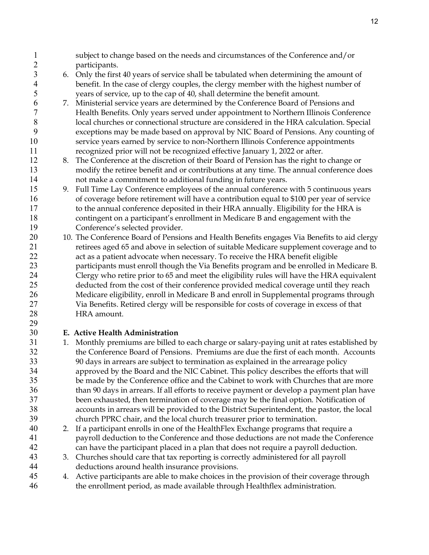- subject to change based on the needs and circumstances of the Conference and/or participants.
- 6. Only the first 40 years of service shall be tabulated when determining the amount of benefit. In the case of clergy couples, the clergy member with the highest number of years of service, up to the cap of 40, shall determine the benefit amount.
- 7. Ministerial service years are determined by the Conference Board of Pensions and Health Benefits. Only years served under appointment to Northern Illinois Conference local churches or connectional structure are considered in the HRA calculation. Special exceptions may be made based on approval by NIC Board of Pensions. Any counting of service years earned by service to non-Northern Illinois Conference appointments recognized prior will not be recognized effective January 1, 2022 or after.
- 8. The Conference at the discretion of their Board of Pension has the right to change or modify the retiree benefit and or contributions at any time. The annual conference does not make a commitment to additional funding in future years.
- 9. Full Time Lay Conference employees of the annual conference with 5 continuous years of coverage before retirement will have a contribution equal to \$100 per year of service to the annual conference deposited in their HRA annually. Eligibility for the HRA is contingent on a participant's enrollment in Medicare B and engagement with the Conference's selected provider.
- 20 10. The Conference Board of Pensions and Health Benefits engages Via Benefits to aid clergy retirees aged 65 and above in selection of suitable Medicare supplement coverage and to act as a patient advocate when necessary. To receive the HRA benefit eligible participants must enroll though the Via Benefits program and be enrolled in Medicare B. Clergy who retire prior to 65 and meet the eligibility rules will have the HRA equivalent deducted from the cost of their conference provided medical coverage until they reach Medicare eligibility, enroll in Medicare B and enroll in Supplemental programs through Via Benefits. Retired clergy will be responsible for costs of coverage in excess of that HRA amount.

# **E. Active Health Administration**

- 1. Monthly premiums are billed to each charge or salary-paying unit at rates established by the Conference Board of Pensions. Premiums are due the first of each month. Accounts 90 days in arrears are subject to termination as explained in the arrearage policy approved by the Board and the NIC Cabinet. This policy describes the efforts that will be made by the Conference office and the Cabinet to work with Churches that are more than 90 days in arrears. If all efforts to receive payment or develop a payment plan have been exhausted, then termination of coverage may be the final option. Notification of accounts in arrears will be provided to the District Superintendent, the pastor, the local church PPRC chair, and the local church treasurer prior to termination.
- 2. If a participant enrolls in one of the HealthFlex Exchange programs that require a payroll deduction to the Conference and those deductions are not made the Conference can have the participant placed in a plan that does not require a payroll deduction.
- 3. Churches should care that tax reporting is correctly administered for all payroll deductions around health insurance provisions.
- 45 4. Active participants are able to make choices in the provision of their coverage through the enrollment period, as made available through Healthflex administration.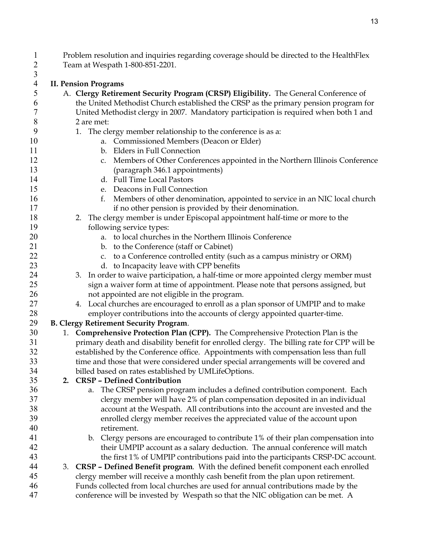Problem resolution and inquiries regarding coverage should be directed to the HealthFlex Team at Wespath 1-800-851-2201.

 $\frac{3}{4}$ **II. Pension Programs** A. **Clergy Retirement Security Program (CRSP) Eligibility.** The General Conference of the United Methodist Church established the CRSP as the primary pension program for United Methodist clergy in 2007. Mandatory participation is required when both 1 and 2 are met: 9 1. The clergy member relationship to the conference is as a: a. Commissioned Members (Deacon or Elder) b. Elders in Full Connection c. Members of Other Conferences appointed in the Northern Illinois Conference (paragraph 346.1 appointments) d. Full Time Local Pastors e. Deacons in Full Connection f. Members of other denomination, appointed to service in an NIC local church 17 if no other pension is provided by their denomination. 2. The clergy member is under Episcopal appointment half-time or more to the following service types: a. to local churches in the Northern Illinois Conference 21 b. to the Conference (staff or Cabinet) 22 c. to a Conference controlled entity (such as a campus ministry or ORM) 23 d. to Incapacity leave with CPP benefits 3. In order to waive participation, a half-time or more appointed clergy member must sign a waiver form at time of appointment. Please note that persons assigned, but not appointed are not eligible in the program. 4. Local churches are encouraged to enroll as a plan sponsor of UMPIP and to make employer contributions into the accounts of clergy appointed quarter-time. **B. Clergy Retirement Security Program**. 1. **Comprehensive Protection Plan (CPP).** The Comprehensive Protection Plan is the primary death and disability benefit for enrolled clergy. The billing rate for CPP will be established by the Conference office. Appointments with compensation less than full time and those that were considered under special arrangements will be covered and billed based on rates established by UMLifeOptions. **2. CRSP – Defined Contribution** a. The CRSP pension program includes a defined contribution component. Each clergy member will have 2% of plan compensation deposited in an individual account at the Wespath. All contributions into the account are invested and the enrolled clergy member receives the appreciated value of the account upon retirement. b. Clergy persons are encouraged to contribute 1% of their plan compensation into their UMPIP account as a salary deduction. The annual conference will match the first 1% of UMPIP contributions paid into the participants CRSP-DC account. 3. **CRSP – Defined Benefit program**. With the defined benefit component each enrolled clergy member will receive a monthly cash benefit from the plan upon retirement. Funds collected from local churches are used for annual contributions made by the conference will be invested by Wespath so that the NIC obligation can be met. A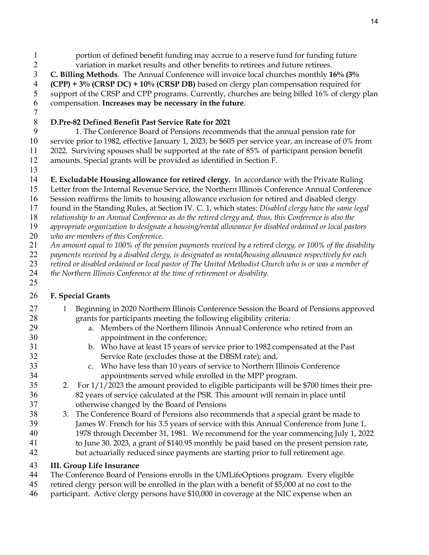- portion of defined benefit funding may accrue to a reserve fund for funding future variation in market results and other benefits to retirees and future retirees.
- **C. Billing Methods**. The Annual Conference will invoice local churches monthly **16% (3% (CPP) + 3% (CRSP DC) + 10% (CRSP DB)** based on clergy plan compensation required for support of the CRSP and CPP programs. Currently, churches are being billed 16% of clergy plan compensation. **Increases may be necessary in the future**.
- 

# **D.Pre-82 Defined Benefit Past Service Rate for 2021**

1. The Conference Board of Pensions recommends that the annual pension rate for service prior to 1982, effective January 1, 2023, be \$605 per service year, an increase of 0% from 2022. Surviving spouses shall be supported at the rate of 85% of participant pension benefit amounts. Special grants will be provided as identified in Section F.

- 
- **E. Excludable Housing allowance for retired clergy.** In accordance with the Private Ruling

Letter from the Internal Revenue Service, the Northern Illinois Conference Annual Conference

- Session reaffirms the limits to housing allowance exclusion for retired and disabled clergy
- found in the Standing Rules, at Section IV. C. 1, which states: *Disabled clergy have the same legal*

*relationship to an Annual Conference as do the retired clergy and, thus, this Conference is also the* 

- *appropriate organization to designate a housing/rental allowance for disabled ordained or local pastors*
- *who are members of this Conference.*
- *An amount equal to 100% of the pension payments received by a retired clergy, or 100% of the disability*
- *payments received by a disabled clergy, is designated as rental/housing allowance respectively for each*
- *retired or disabled ordained or local pastor of The United Methodist Church who is or was a member of*
- *the Northern Illinois Conference at the time of retirement or disability.*
- 

# **F. Special Grants**

- 27 1 Beginning in 2020 Northern Illinois Conference Session the Board of Pensions approved grants for participants meeting the following eligibility criteria:
- a. Members of the Northern Illinois Annual Conference who retired from an appointment in the conference;
- b. Who have at least 15 years of service prior to 1982 compensated at the Past Service Rate (excludes those at the DBSM rate); and,
- c. Who have less than 10 years of service to Northern Illinois Conference appointments served while enrolled in the MPP program.
- 2. For 1/1/2023 the amount provided to eligible participants will be \$700 times their pre-82 years of service calculated at the PSR. This amount will remain in place until otherwise changed by the Board of Pensions
- 3. The Conference Board of Pensions also recommends that a special grant be made to James W. French for his 3.5 years of service with this Annual Conference from June 1, 1978 through December 31, 1981. We recommend for the year commencing July 1, 2022 to June 30, 2023, a grant of \$140.95 monthly be paid based on the present pension rate, but actuarially reduced since payments are starting prior to full retirement age.

# **III. Group Life Insurance**

- The Conference Board of Pensions enrolls in the UMLifeOptions program. Every eligible
- retired clergy person will be enrolled in the plan with a benefit of \$5,000 at no cost to the
- participant. Active clergy persons have \$10,000 in coverage at the NIC expense when an